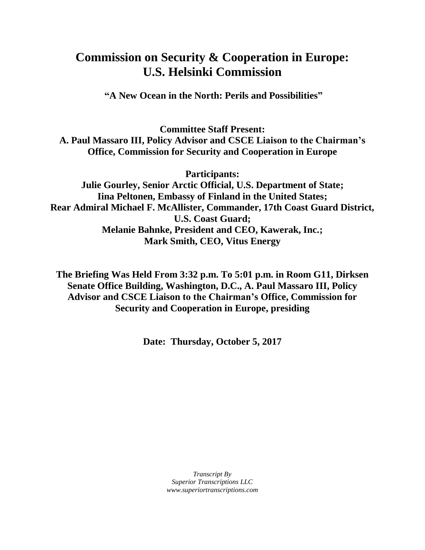## **Commission on Security & Cooperation in Europe: U.S. Helsinki Commission**

**"A New Ocean in the North: Perils and Possibilities"**

**Committee Staff Present: A. Paul Massaro III, Policy Advisor and CSCE Liaison to the Chairman's Office, Commission for Security and Cooperation in Europe**

**Participants:**

**Julie Gourley, Senior Arctic Official, U.S. Department of State; Iina Peltonen, Embassy of Finland in the United States; Rear Admiral Michael F. McAllister, Commander, 17th Coast Guard District, U.S. Coast Guard; Melanie Bahnke, President and CEO, Kawerak, Inc.; Mark Smith, CEO, Vitus Energy**

**The Briefing Was Held From 3:32 p.m. To 5:01 p.m. in Room G11, Dirksen Senate Office Building, Washington, D.C., A. Paul Massaro III, Policy Advisor and CSCE Liaison to the Chairman's Office, Commission for Security and Cooperation in Europe, presiding**

**Date: Thursday, October 5, 2017**

*Transcript By Superior Transcriptions LLC www.superiortranscriptions.com*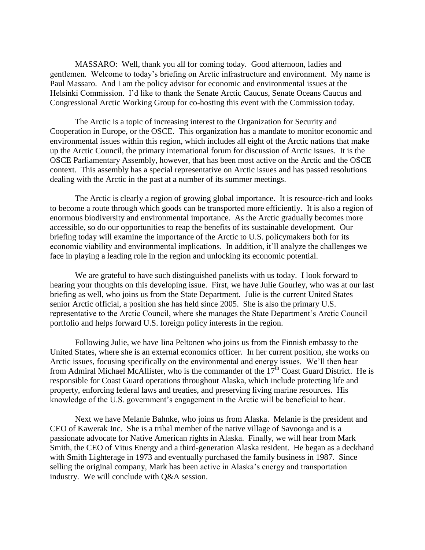MASSARO: Well, thank you all for coming today. Good afternoon, ladies and gentlemen. Welcome to today's briefing on Arctic infrastructure and environment. My name is Paul Massaro. And I am the policy advisor for economic and environmental issues at the Helsinki Commission. I'd like to thank the Senate Arctic Caucus, Senate Oceans Caucus and Congressional Arctic Working Group for co-hosting this event with the Commission today.

The Arctic is a topic of increasing interest to the Organization for Security and Cooperation in Europe, or the OSCE. This organization has a mandate to monitor economic and environmental issues within this region, which includes all eight of the Arctic nations that make up the Arctic Council, the primary international forum for discussion of Arctic issues. It is the OSCE Parliamentary Assembly, however, that has been most active on the Arctic and the OSCE context. This assembly has a special representative on Arctic issues and has passed resolutions dealing with the Arctic in the past at a number of its summer meetings.

The Arctic is clearly a region of growing global importance. It is resource-rich and looks to become a route through which goods can be transported more efficiently. It is also a region of enormous biodiversity and environmental importance. As the Arctic gradually becomes more accessible, so do our opportunities to reap the benefits of its sustainable development. Our briefing today will examine the importance of the Arctic to U.S. policymakers both for its economic viability and environmental implications. In addition, it'll analyze the challenges we face in playing a leading role in the region and unlocking its economic potential.

We are grateful to have such distinguished panelists with us today. I look forward to hearing your thoughts on this developing issue. First, we have Julie Gourley, who was at our last briefing as well, who joins us from the State Department. Julie is the current United States senior Arctic official, a position she has held since 2005. She is also the primary U.S. representative to the Arctic Council, where she manages the State Department's Arctic Council portfolio and helps forward U.S. foreign policy interests in the region.

Following Julie, we have Iina Peltonen who joins us from the Finnish embassy to the United States, where she is an external economics officer. In her current position, she works on Arctic issues, focusing specifically on the environmental and energy issues. We'll then hear from Admiral Michael McAllister, who is the commander of the  $17<sup>th</sup>$  Coast Guard District. He is responsible for Coast Guard operations throughout Alaska, which include protecting life and property, enforcing federal laws and treaties, and preserving living marine resources. His knowledge of the U.S. government's engagement in the Arctic will be beneficial to hear.

Next we have Melanie Bahnke, who joins us from Alaska. Melanie is the president and CEO of Kawerak Inc. She is a tribal member of the native village of Savoonga and is a passionate advocate for Native American rights in Alaska. Finally, we will hear from Mark Smith, the CEO of Vitus Energy and a third-generation Alaska resident. He began as a deckhand with Smith Lighterage in 1973 and eventually purchased the family business in 1987. Since selling the original company, Mark has been active in Alaska's energy and transportation industry. We will conclude with Q&A session.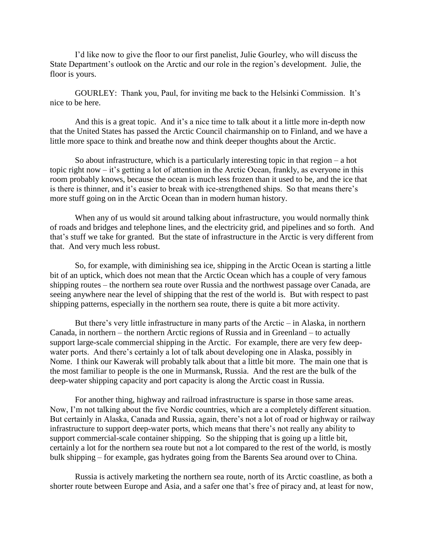I'd like now to give the floor to our first panelist, Julie Gourley, who will discuss the State Department's outlook on the Arctic and our role in the region's development. Julie, the floor is yours.

GOURLEY: Thank you, Paul, for inviting me back to the Helsinki Commission. It's nice to be here.

And this is a great topic. And it's a nice time to talk about it a little more in-depth now that the United States has passed the Arctic Council chairmanship on to Finland, and we have a little more space to think and breathe now and think deeper thoughts about the Arctic.

So about infrastructure, which is a particularly interesting topic in that region – a hot topic right now – it's getting a lot of attention in the Arctic Ocean, frankly, as everyone in this room probably knows, because the ocean is much less frozen than it used to be, and the ice that is there is thinner, and it's easier to break with ice-strengthened ships. So that means there's more stuff going on in the Arctic Ocean than in modern human history.

When any of us would sit around talking about infrastructure, you would normally think of roads and bridges and telephone lines, and the electricity grid, and pipelines and so forth. And that's stuff we take for granted. But the state of infrastructure in the Arctic is very different from that. And very much less robust.

So, for example, with diminishing sea ice, shipping in the Arctic Ocean is starting a little bit of an uptick, which does not mean that the Arctic Ocean which has a couple of very famous shipping routes – the northern sea route over Russia and the northwest passage over Canada, are seeing anywhere near the level of shipping that the rest of the world is. But with respect to past shipping patterns, especially in the northern sea route, there is quite a bit more activity.

But there's very little infrastructure in many parts of the Arctic – in Alaska, in northern Canada, in northern – the northern Arctic regions of Russia and in Greenland – to actually support large-scale commercial shipping in the Arctic. For example, there are very few deepwater ports. And there's certainly a lot of talk about developing one in Alaska, possibly in Nome. I think our Kawerak will probably talk about that a little bit more. The main one that is the most familiar to people is the one in Murmansk, Russia. And the rest are the bulk of the deep-water shipping capacity and port capacity is along the Arctic coast in Russia.

For another thing, highway and railroad infrastructure is sparse in those same areas. Now, I'm not talking about the five Nordic countries, which are a completely different situation. But certainly in Alaska, Canada and Russia, again, there's not a lot of road or highway or railway infrastructure to support deep-water ports, which means that there's not really any ability to support commercial-scale container shipping. So the shipping that is going up a little bit, certainly a lot for the northern sea route but not a lot compared to the rest of the world, is mostly bulk shipping – for example, gas hydrates going from the Barents Sea around over to China.

Russia is actively marketing the northern sea route, north of its Arctic coastline, as both a shorter route between Europe and Asia, and a safer one that's free of piracy and, at least for now,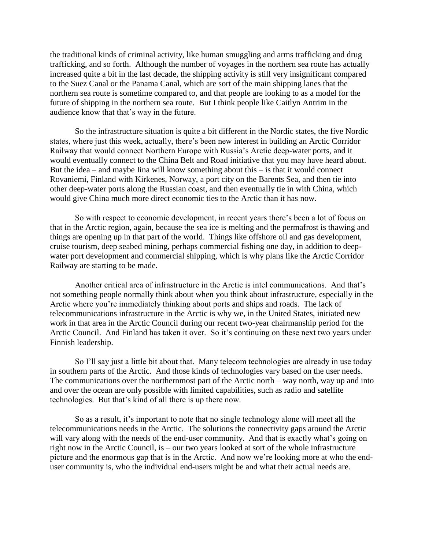the traditional kinds of criminal activity, like human smuggling and arms trafficking and drug trafficking, and so forth. Although the number of voyages in the northern sea route has actually increased quite a bit in the last decade, the shipping activity is still very insignificant compared to the Suez Canal or the Panama Canal, which are sort of the main shipping lanes that the northern sea route is sometime compared to, and that people are looking to as a model for the future of shipping in the northern sea route. But I think people like Caitlyn Antrim in the audience know that that's way in the future.

So the infrastructure situation is quite a bit different in the Nordic states, the five Nordic states, where just this week, actually, there's been new interest in building an Arctic Corridor Railway that would connect Northern Europe with Russia's Arctic deep-water ports, and it would eventually connect to the China Belt and Road initiative that you may have heard about. But the idea – and maybe Iina will know something about this – is that it would connect Rovaniemi, Finland with Kirkenes, Norway, a port city on the Barents Sea, and then tie into other deep-water ports along the Russian coast, and then eventually tie in with China, which would give China much more direct economic ties to the Arctic than it has now.

So with respect to economic development, in recent years there's been a lot of focus on that in the Arctic region, again, because the sea ice is melting and the permafrost is thawing and things are opening up in that part of the world. Things like offshore oil and gas development, cruise tourism, deep seabed mining, perhaps commercial fishing one day, in addition to deepwater port development and commercial shipping, which is why plans like the Arctic Corridor Railway are starting to be made.

Another critical area of infrastructure in the Arctic is intel communications. And that's not something people normally think about when you think about infrastructure, especially in the Arctic where you're immediately thinking about ports and ships and roads. The lack of telecommunications infrastructure in the Arctic is why we, in the United States, initiated new work in that area in the Arctic Council during our recent two-year chairmanship period for the Arctic Council. And Finland has taken it over. So it's continuing on these next two years under Finnish leadership.

So I'll say just a little bit about that. Many telecom technologies are already in use today in southern parts of the Arctic. And those kinds of technologies vary based on the user needs. The communications over the northernmost part of the Arctic north – way north, way up and into and over the ocean are only possible with limited capabilities, such as radio and satellite technologies. But that's kind of all there is up there now.

So as a result, it's important to note that no single technology alone will meet all the telecommunications needs in the Arctic. The solutions the connectivity gaps around the Arctic will vary along with the needs of the end-user community. And that is exactly what's going on right now in the Arctic Council, is – our two years looked at sort of the whole infrastructure picture and the enormous gap that is in the Arctic. And now we're looking more at who the enduser community is, who the individual end-users might be and what their actual needs are.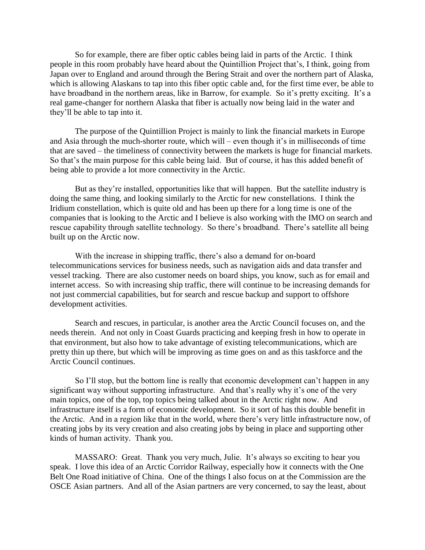So for example, there are fiber optic cables being laid in parts of the Arctic. I think people in this room probably have heard about the Quintillion Project that's, I think, going from Japan over to England and around through the Bering Strait and over the northern part of Alaska, which is allowing Alaskans to tap into this fiber optic cable and, for the first time ever, be able to have broadband in the northern areas, like in Barrow, for example. So it's pretty exciting. It's a real game-changer for northern Alaska that fiber is actually now being laid in the water and they'll be able to tap into it.

The purpose of the Quintillion Project is mainly to link the financial markets in Europe and Asia through the much-shorter route, which will – even though it's in milliseconds of time that are saved – the timeliness of connectivity between the markets is huge for financial markets. So that's the main purpose for this cable being laid. But of course, it has this added benefit of being able to provide a lot more connectivity in the Arctic.

But as they're installed, opportunities like that will happen. But the satellite industry is doing the same thing, and looking similarly to the Arctic for new constellations. I think the Iridium constellation, which is quite old and has been up there for a long time is one of the companies that is looking to the Arctic and I believe is also working with the IMO on search and rescue capability through satellite technology. So there's broadband. There's satellite all being built up on the Arctic now.

With the increase in shipping traffic, there's also a demand for on-board telecommunications services for business needs, such as navigation aids and data transfer and vessel tracking. There are also customer needs on board ships, you know, such as for email and internet access. So with increasing ship traffic, there will continue to be increasing demands for not just commercial capabilities, but for search and rescue backup and support to offshore development activities.

Search and rescues, in particular, is another area the Arctic Council focuses on, and the needs therein. And not only in Coast Guards practicing and keeping fresh in how to operate in that environment, but also how to take advantage of existing telecommunications, which are pretty thin up there, but which will be improving as time goes on and as this taskforce and the Arctic Council continues.

So I'll stop, but the bottom line is really that economic development can't happen in any significant way without supporting infrastructure. And that's really why it's one of the very main topics, one of the top, top topics being talked about in the Arctic right now. And infrastructure itself is a form of economic development. So it sort of has this double benefit in the Arctic. And in a region like that in the world, where there's very little infrastructure now, of creating jobs by its very creation and also creating jobs by being in place and supporting other kinds of human activity. Thank you.

MASSARO: Great. Thank you very much, Julie. It's always so exciting to hear you speak. I love this idea of an Arctic Corridor Railway, especially how it connects with the One Belt One Road initiative of China. One of the things I also focus on at the Commission are the OSCE Asian partners. And all of the Asian partners are very concerned, to say the least, about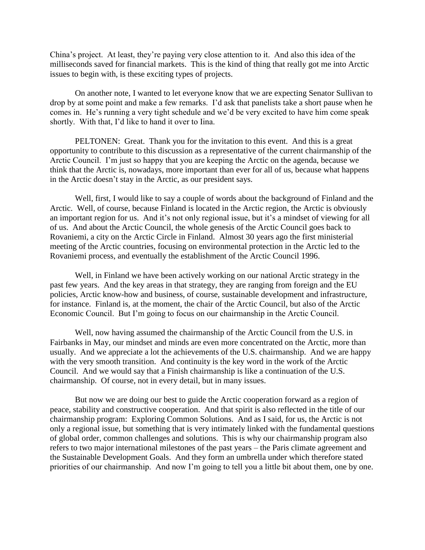China's project. At least, they're paying very close attention to it. And also this idea of the milliseconds saved for financial markets. This is the kind of thing that really got me into Arctic issues to begin with, is these exciting types of projects.

On another note, I wanted to let everyone know that we are expecting Senator Sullivan to drop by at some point and make a few remarks. I'd ask that panelists take a short pause when he comes in. He's running a very tight schedule and we'd be very excited to have him come speak shortly. With that, I'd like to hand it over to Iina.

PELTONEN: Great. Thank you for the invitation to this event. And this is a great opportunity to contribute to this discussion as a representative of the current chairmanship of the Arctic Council. I'm just so happy that you are keeping the Arctic on the agenda, because we think that the Arctic is, nowadays, more important than ever for all of us, because what happens in the Arctic doesn't stay in the Arctic, as our president says.

Well, first, I would like to say a couple of words about the background of Finland and the Arctic. Well, of course, because Finland is located in the Arctic region, the Arctic is obviously an important region for us. And it's not only regional issue, but it's a mindset of viewing for all of us. And about the Arctic Council, the whole genesis of the Arctic Council goes back to Rovaniemi, a city on the Arctic Circle in Finland. Almost 30 years ago the first ministerial meeting of the Arctic countries, focusing on environmental protection in the Arctic led to the Rovaniemi process, and eventually the establishment of the Arctic Council 1996.

Well, in Finland we have been actively working on our national Arctic strategy in the past few years. And the key areas in that strategy, they are ranging from foreign and the EU policies, Arctic know-how and business, of course, sustainable development and infrastructure, for instance. Finland is, at the moment, the chair of the Arctic Council, but also of the Arctic Economic Council. But I'm going to focus on our chairmanship in the Arctic Council.

Well, now having assumed the chairmanship of the Arctic Council from the U.S. in Fairbanks in May, our mindset and minds are even more concentrated on the Arctic, more than usually. And we appreciate a lot the achievements of the U.S. chairmanship. And we are happy with the very smooth transition. And continuity is the key word in the work of the Arctic Council. And we would say that a Finish chairmanship is like a continuation of the U.S. chairmanship. Of course, not in every detail, but in many issues.

But now we are doing our best to guide the Arctic cooperation forward as a region of peace, stability and constructive cooperation. And that spirit is also reflected in the title of our chairmanship program: Exploring Common Solutions. And as I said, for us, the Arctic is not only a regional issue, but something that is very intimately linked with the fundamental questions of global order, common challenges and solutions. This is why our chairmanship program also refers to two major international milestones of the past years – the Paris climate agreement and the Sustainable Development Goals. And they form an umbrella under which therefore stated priorities of our chairmanship. And now I'm going to tell you a little bit about them, one by one.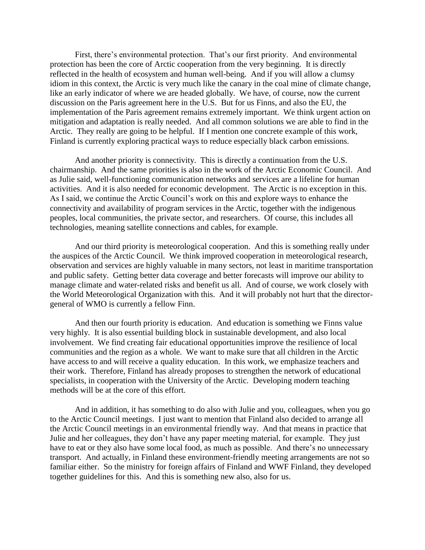First, there's environmental protection. That's our first priority. And environmental protection has been the core of Arctic cooperation from the very beginning. It is directly reflected in the health of ecosystem and human well-being. And if you will allow a clumsy idiom in this context, the Arctic is very much like the canary in the coal mine of climate change, like an early indicator of where we are headed globally. We have, of course, now the current discussion on the Paris agreement here in the U.S. But for us Finns, and also the EU, the implementation of the Paris agreement remains extremely important. We think urgent action on mitigation and adaptation is really needed. And all common solutions we are able to find in the Arctic. They really are going to be helpful. If I mention one concrete example of this work, Finland is currently exploring practical ways to reduce especially black carbon emissions.

And another priority is connectivity. This is directly a continuation from the U.S. chairmanship. And the same priorities is also in the work of the Arctic Economic Council. And as Julie said, well-functioning communication networks and services are a lifeline for human activities. And it is also needed for economic development. The Arctic is no exception in this. As I said, we continue the Arctic Council's work on this and explore ways to enhance the connectivity and availability of program services in the Arctic, together with the indigenous peoples, local communities, the private sector, and researchers. Of course, this includes all technologies, meaning satellite connections and cables, for example.

And our third priority is meteorological cooperation. And this is something really under the auspices of the Arctic Council. We think improved cooperation in meteorological research, observation and services are highly valuable in many sectors, not least in maritime transportation and public safety. Getting better data coverage and better forecasts will improve our ability to manage climate and water-related risks and benefit us all. And of course, we work closely with the World Meteorological Organization with this. And it will probably not hurt that the directorgeneral of WMO is currently a fellow Finn.

And then our fourth priority is education. And education is something we Finns value very highly. It is also essential building block in sustainable development, and also local involvement. We find creating fair educational opportunities improve the resilience of local communities and the region as a whole. We want to make sure that all children in the Arctic have access to and will receive a quality education. In this work, we emphasize teachers and their work. Therefore, Finland has already proposes to strengthen the network of educational specialists, in cooperation with the University of the Arctic. Developing modern teaching methods will be at the core of this effort.

And in addition, it has something to do also with Julie and you, colleagues, when you go to the Arctic Council meetings. I just want to mention that Finland also decided to arrange all the Arctic Council meetings in an environmental friendly way. And that means in practice that Julie and her colleagues, they don't have any paper meeting material, for example. They just have to eat or they also have some local food, as much as possible. And there's no unnecessary transport. And actually, in Finland these environment-friendly meeting arrangements are not so familiar either. So the ministry for foreign affairs of Finland and WWF Finland, they developed together guidelines for this. And this is something new also, also for us.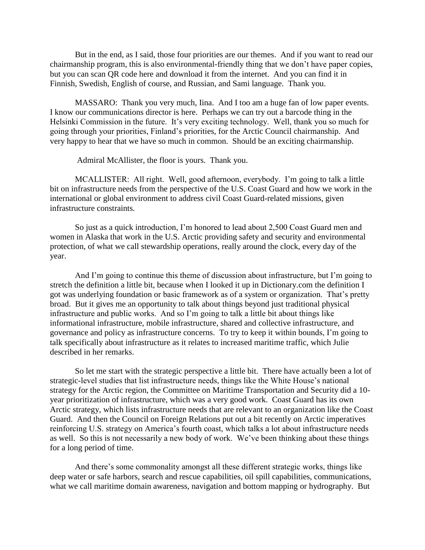But in the end, as I said, those four priorities are our themes. And if you want to read our chairmanship program, this is also environmental-friendly thing that we don't have paper copies, but you can scan QR code here and download it from the internet. And you can find it in Finnish, Swedish, English of course, and Russian, and Sami language. Thank you.

MASSARO: Thank you very much, Iina. And I too am a huge fan of low paper events. I know our communications director is here. Perhaps we can try out a barcode thing in the Helsinki Commission in the future. It's very exciting technology. Well, thank you so much for going through your priorities, Finland's priorities, for the Arctic Council chairmanship. And very happy to hear that we have so much in common. Should be an exciting chairmanship.

Admiral McAllister, the floor is yours. Thank you.

MCALLISTER: All right. Well, good afternoon, everybody. I'm going to talk a little bit on infrastructure needs from the perspective of the U.S. Coast Guard and how we work in the international or global environment to address civil Coast Guard-related missions, given infrastructure constraints.

So just as a quick introduction, I'm honored to lead about 2,500 Coast Guard men and women in Alaska that work in the U.S. Arctic providing safety and security and environmental protection, of what we call stewardship operations, really around the clock, every day of the year.

And I'm going to continue this theme of discussion about infrastructure, but I'm going to stretch the definition a little bit, because when I looked it up in Dictionary.com the definition I got was underlying foundation or basic framework as of a system or organization. That's pretty broad. But it gives me an opportunity to talk about things beyond just traditional physical infrastructure and public works. And so I'm going to talk a little bit about things like informational infrastructure, mobile infrastructure, shared and collective infrastructure, and governance and policy as infrastructure concerns. To try to keep it within bounds, I'm going to talk specifically about infrastructure as it relates to increased maritime traffic, which Julie described in her remarks.

So let me start with the strategic perspective a little bit. There have actually been a lot of strategic-level studies that list infrastructure needs, things like the White House's national strategy for the Arctic region, the Committee on Maritime Transportation and Security did a 10 year prioritization of infrastructure, which was a very good work. Coast Guard has its own Arctic strategy, which lists infrastructure needs that are relevant to an organization like the Coast Guard. And then the Council on Foreign Relations put out a bit recently on Arctic imperatives reinforcing U.S. strategy on America's fourth coast, which talks a lot about infrastructure needs as well. So this is not necessarily a new body of work. We've been thinking about these things for a long period of time.

And there's some commonality amongst all these different strategic works, things like deep water or safe harbors, search and rescue capabilities, oil spill capabilities, communications, what we call maritime domain awareness, navigation and bottom mapping or hydrography. But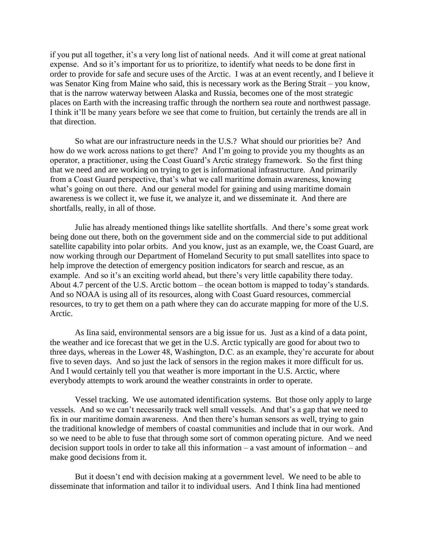if you put all together, it's a very long list of national needs. And it will come at great national expense. And so it's important for us to prioritize, to identify what needs to be done first in order to provide for safe and secure uses of the Arctic. I was at an event recently, and I believe it was Senator King from Maine who said, this is necessary work as the Bering Strait – you know, that is the narrow waterway between Alaska and Russia, becomes one of the most strategic places on Earth with the increasing traffic through the northern sea route and northwest passage. I think it'll be many years before we see that come to fruition, but certainly the trends are all in that direction.

So what are our infrastructure needs in the U.S.? What should our priorities be? And how do we work across nations to get there? And I'm going to provide you my thoughts as an operator, a practitioner, using the Coast Guard's Arctic strategy framework. So the first thing that we need and are working on trying to get is informational infrastructure. And primarily from a Coast Guard perspective, that's what we call maritime domain awareness, knowing what's going on out there. And our general model for gaining and using maritime domain awareness is we collect it, we fuse it, we analyze it, and we disseminate it. And there are shortfalls, really, in all of those.

Julie has already mentioned things like satellite shortfalls. And there's some great work being done out there, both on the government side and on the commercial side to put additional satellite capability into polar orbits. And you know, just as an example, we, the Coast Guard, are now working through our Department of Homeland Security to put small satellites into space to help improve the detection of emergency position indicators for search and rescue, as an example. And so it's an exciting world ahead, but there's very little capability there today. About 4.7 percent of the U.S. Arctic bottom – the ocean bottom is mapped to today's standards. And so NOAA is using all of its resources, along with Coast Guard resources, commercial resources, to try to get them on a path where they can do accurate mapping for more of the U.S. Arctic.

As Iina said, environmental sensors are a big issue for us. Just as a kind of a data point, the weather and ice forecast that we get in the U.S. Arctic typically are good for about two to three days, whereas in the Lower 48, Washington, D.C. as an example, they're accurate for about five to seven days. And so just the lack of sensors in the region makes it more difficult for us. And I would certainly tell you that weather is more important in the U.S. Arctic, where everybody attempts to work around the weather constraints in order to operate.

Vessel tracking. We use automated identification systems. But those only apply to large vessels. And so we can't necessarily track well small vessels. And that's a gap that we need to fix in our maritime domain awareness. And then there's human sensors as well, trying to gain the traditional knowledge of members of coastal communities and include that in our work. And so we need to be able to fuse that through some sort of common operating picture. And we need decision support tools in order to take all this information – a vast amount of information – and make good decisions from it.

But it doesn't end with decision making at a government level. We need to be able to disseminate that information and tailor it to individual users. And I think Iina had mentioned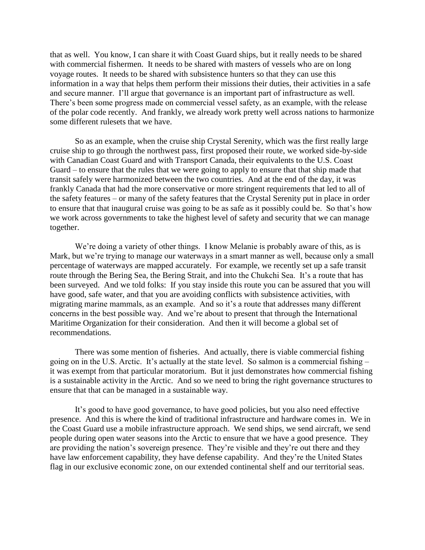that as well. You know, I can share it with Coast Guard ships, but it really needs to be shared with commercial fishermen. It needs to be shared with masters of vessels who are on long voyage routes. It needs to be shared with subsistence hunters so that they can use this information in a way that helps them perform their missions their duties, their activities in a safe and secure manner. I'll argue that governance is an important part of infrastructure as well. There's been some progress made on commercial vessel safety, as an example, with the release of the polar code recently. And frankly, we already work pretty well across nations to harmonize some different rulesets that we have.

So as an example, when the cruise ship Crystal Serenity, which was the first really large cruise ship to go through the northwest pass, first proposed their route, we worked side-by-side with Canadian Coast Guard and with Transport Canada, their equivalents to the U.S. Coast Guard – to ensure that the rules that we were going to apply to ensure that that ship made that transit safely were harmonized between the two countries. And at the end of the day, it was frankly Canada that had the more conservative or more stringent requirements that led to all of the safety features – or many of the safety features that the Crystal Serenity put in place in order to ensure that that inaugural cruise was going to be as safe as it possibly could be. So that's how we work across governments to take the highest level of safety and security that we can manage together.

We're doing a variety of other things. I know Melanie is probably aware of this, as is Mark, but we're trying to manage our waterways in a smart manner as well, because only a small percentage of waterways are mapped accurately. For example, we recently set up a safe transit route through the Bering Sea, the Bering Strait, and into the Chukchi Sea. It's a route that has been surveyed. And we told folks: If you stay inside this route you can be assured that you will have good, safe water, and that you are avoiding conflicts with subsistence activities, with migrating marine mammals, as an example. And so it's a route that addresses many different concerns in the best possible way. And we're about to present that through the International Maritime Organization for their consideration. And then it will become a global set of recommendations.

There was some mention of fisheries. And actually, there is viable commercial fishing going on in the U.S. Arctic. It's actually at the state level. So salmon is a commercial fishing – it was exempt from that particular moratorium. But it just demonstrates how commercial fishing is a sustainable activity in the Arctic. And so we need to bring the right governance structures to ensure that that can be managed in a sustainable way.

It's good to have good governance, to have good policies, but you also need effective presence. And this is where the kind of traditional infrastructure and hardware comes in. We in the Coast Guard use a mobile infrastructure approach. We send ships, we send aircraft, we send people during open water seasons into the Arctic to ensure that we have a good presence. They are providing the nation's sovereign presence. They're visible and they're out there and they have law enforcement capability, they have defense capability. And they're the United States flag in our exclusive economic zone, on our extended continental shelf and our territorial seas.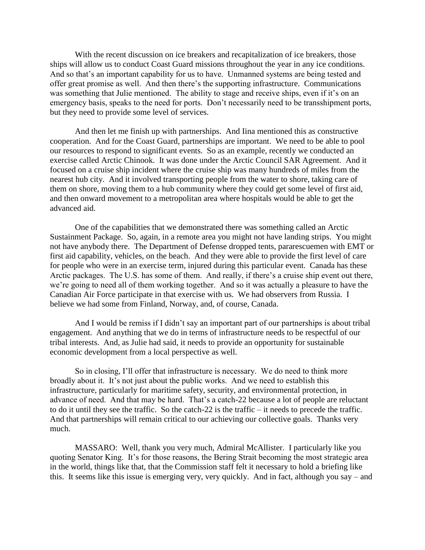With the recent discussion on ice breakers and recapitalization of ice breakers, those ships will allow us to conduct Coast Guard missions throughout the year in any ice conditions. And so that's an important capability for us to have. Unmanned systems are being tested and offer great promise as well. And then there's the supporting infrastructure. Communications was something that Julie mentioned. The ability to stage and receive ships, even if it's on an emergency basis, speaks to the need for ports. Don't necessarily need to be transshipment ports, but they need to provide some level of services.

And then let me finish up with partnerships. And Iina mentioned this as constructive cooperation. And for the Coast Guard, partnerships are important. We need to be able to pool our resources to respond to significant events. So as an example, recently we conducted an exercise called Arctic Chinook. It was done under the Arctic Council SAR Agreement. And it focused on a cruise ship incident where the cruise ship was many hundreds of miles from the nearest hub city. And it involved transporting people from the water to shore, taking care of them on shore, moving them to a hub community where they could get some level of first aid, and then onward movement to a metropolitan area where hospitals would be able to get the advanced aid.

One of the capabilities that we demonstrated there was something called an Arctic Sustainment Package. So, again, in a remote area you might not have landing strips. You might not have anybody there. The Department of Defense dropped tents, pararescuemen with EMT or first aid capability, vehicles, on the beach. And they were able to provide the first level of care for people who were in an exercise term, injured during this particular event. Canada has these Arctic packages. The U.S. has some of them. And really, if there's a cruise ship event out there, we're going to need all of them working together. And so it was actually a pleasure to have the Canadian Air Force participate in that exercise with us. We had observers from Russia. I believe we had some from Finland, Norway, and, of course, Canada.

And I would be remiss if I didn't say an important part of our partnerships is about tribal engagement. And anything that we do in terms of infrastructure needs to be respectful of our tribal interests. And, as Julie had said, it needs to provide an opportunity for sustainable economic development from a local perspective as well.

So in closing, I'll offer that infrastructure is necessary. We do need to think more broadly about it. It's not just about the public works. And we need to establish this infrastructure, particularly for maritime safety, security, and environmental protection, in advance of need. And that may be hard. That's a catch-22 because a lot of people are reluctant to do it until they see the traffic. So the catch-22 is the traffic – it needs to precede the traffic. And that partnerships will remain critical to our achieving our collective goals. Thanks very much.

MASSARO: Well, thank you very much, Admiral McAllister. I particularly like you quoting Senator King. It's for those reasons, the Bering Strait becoming the most strategic area in the world, things like that, that the Commission staff felt it necessary to hold a briefing like this. It seems like this issue is emerging very, very quickly. And in fact, although you say – and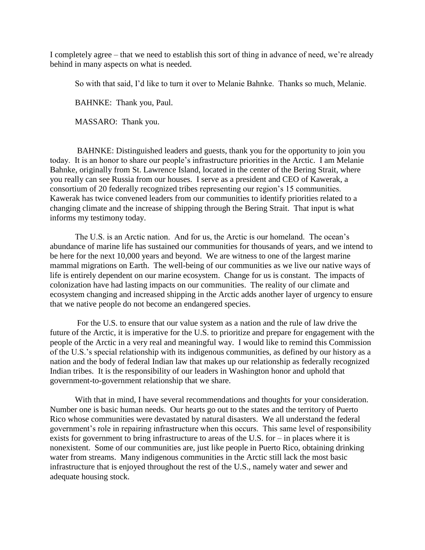I completely agree – that we need to establish this sort of thing in advance of need, we're already behind in many aspects on what is needed.

So with that said, I'd like to turn it over to Melanie Bahnke. Thanks so much, Melanie.

BAHNKE: Thank you, Paul.

MASSARO: Thank you.

BAHNKE: Distinguished leaders and guests, thank you for the opportunity to join you today. It is an honor to share our people's infrastructure priorities in the Arctic. I am Melanie Bahnke, originally from St. Lawrence Island, located in the center of the Bering Strait, where you really can see Russia from our houses. I serve as a president and CEO of Kawerak, a consortium of 20 federally recognized tribes representing our region's 15 communities. Kawerak has twice convened leaders from our communities to identify priorities related to a changing climate and the increase of shipping through the Bering Strait. That input is what informs my testimony today.

The U.S. is an Arctic nation. And for us, the Arctic is our homeland. The ocean's abundance of marine life has sustained our communities for thousands of years, and we intend to be here for the next 10,000 years and beyond. We are witness to one of the largest marine mammal migrations on Earth. The well-being of our communities as we live our native ways of life is entirely dependent on our marine ecosystem. Change for us is constant. The impacts of colonization have had lasting impacts on our communities. The reality of our climate and ecosystem changing and increased shipping in the Arctic adds another layer of urgency to ensure that we native people do not become an endangered species.

For the U.S. to ensure that our value system as a nation and the rule of law drive the future of the Arctic, it is imperative for the U.S. to prioritize and prepare for engagement with the people of the Arctic in a very real and meaningful way. I would like to remind this Commission of the U.S.'s special relationship with its indigenous communities, as defined by our history as a nation and the body of federal Indian law that makes up our relationship as federally recognized Indian tribes. It is the responsibility of our leaders in Washington honor and uphold that government-to-government relationship that we share.

With that in mind, I have several recommendations and thoughts for your consideration. Number one is basic human needs. Our hearts go out to the states and the territory of Puerto Rico whose communities were devastated by natural disasters. We all understand the federal government's role in repairing infrastructure when this occurs. This same level of responsibility exists for government to bring infrastructure to areas of the U.S. for – in places where it is nonexistent. Some of our communities are, just like people in Puerto Rico, obtaining drinking water from streams. Many indigenous communities in the Arctic still lack the most basic infrastructure that is enjoyed throughout the rest of the U.S., namely water and sewer and adequate housing stock.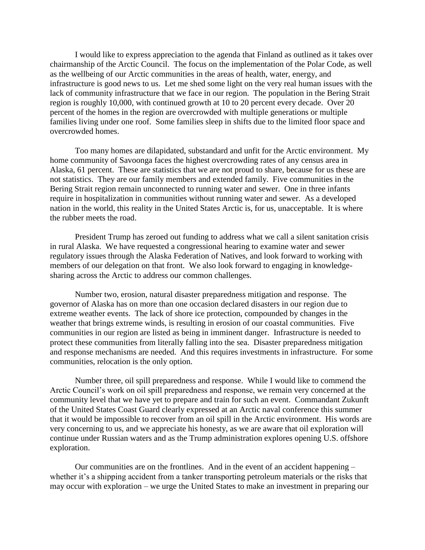I would like to express appreciation to the agenda that Finland as outlined as it takes over chairmanship of the Arctic Council. The focus on the implementation of the Polar Code, as well as the wellbeing of our Arctic communities in the areas of health, water, energy, and infrastructure is good news to us. Let me shed some light on the very real human issues with the lack of community infrastructure that we face in our region. The population in the Bering Strait region is roughly 10,000, with continued growth at 10 to 20 percent every decade. Over 20 percent of the homes in the region are overcrowded with multiple generations or multiple families living under one roof. Some families sleep in shifts due to the limited floor space and overcrowded homes.

Too many homes are dilapidated, substandard and unfit for the Arctic environment. My home community of Savoonga faces the highest overcrowding rates of any census area in Alaska, 61 percent. These are statistics that we are not proud to share, because for us these are not statistics. They are our family members and extended family. Five communities in the Bering Strait region remain unconnected to running water and sewer. One in three infants require in hospitalization in communities without running water and sewer. As a developed nation in the world, this reality in the United States Arctic is, for us, unacceptable. It is where the rubber meets the road.

President Trump has zeroed out funding to address what we call a silent sanitation crisis in rural Alaska. We have requested a congressional hearing to examine water and sewer regulatory issues through the Alaska Federation of Natives, and look forward to working with members of our delegation on that front. We also look forward to engaging in knowledgesharing across the Arctic to address our common challenges.

Number two, erosion, natural disaster preparedness mitigation and response. The governor of Alaska has on more than one occasion declared disasters in our region due to extreme weather events. The lack of shore ice protection, compounded by changes in the weather that brings extreme winds, is resulting in erosion of our coastal communities. Five communities in our region are listed as being in imminent danger. Infrastructure is needed to protect these communities from literally falling into the sea. Disaster preparedness mitigation and response mechanisms are needed. And this requires investments in infrastructure. For some communities, relocation is the only option.

Number three, oil spill preparedness and response. While I would like to commend the Arctic Council's work on oil spill preparedness and response, we remain very concerned at the community level that we have yet to prepare and train for such an event. Commandant Zukunft of the United States Coast Guard clearly expressed at an Arctic naval conference this summer that it would be impossible to recover from an oil spill in the Arctic environment. His words are very concerning to us, and we appreciate his honesty, as we are aware that oil exploration will continue under Russian waters and as the Trump administration explores opening U.S. offshore exploration.

Our communities are on the frontlines. And in the event of an accident happening – whether it's a shipping accident from a tanker transporting petroleum materials or the risks that may occur with exploration – we urge the United States to make an investment in preparing our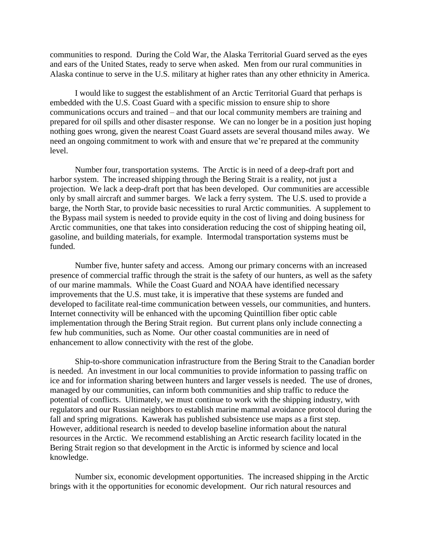communities to respond. During the Cold War, the Alaska Territorial Guard served as the eyes and ears of the United States, ready to serve when asked. Men from our rural communities in Alaska continue to serve in the U.S. military at higher rates than any other ethnicity in America.

I would like to suggest the establishment of an Arctic Territorial Guard that perhaps is embedded with the U.S. Coast Guard with a specific mission to ensure ship to shore communications occurs and trained – and that our local community members are training and prepared for oil spills and other disaster response. We can no longer be in a position just hoping nothing goes wrong, given the nearest Coast Guard assets are several thousand miles away. We need an ongoing commitment to work with and ensure that we're prepared at the community level.

Number four, transportation systems. The Arctic is in need of a deep-draft port and harbor system. The increased shipping through the Bering Strait is a reality, not just a projection. We lack a deep-draft port that has been developed. Our communities are accessible only by small aircraft and summer barges. We lack a ferry system. The U.S. used to provide a barge, the North Star, to provide basic necessities to rural Arctic communities. A supplement to the Bypass mail system is needed to provide equity in the cost of living and doing business for Arctic communities, one that takes into consideration reducing the cost of shipping heating oil, gasoline, and building materials, for example. Intermodal transportation systems must be funded.

Number five, hunter safety and access. Among our primary concerns with an increased presence of commercial traffic through the strait is the safety of our hunters, as well as the safety of our marine mammals. While the Coast Guard and NOAA have identified necessary improvements that the U.S. must take, it is imperative that these systems are funded and developed to facilitate real-time communication between vessels, our communities, and hunters. Internet connectivity will be enhanced with the upcoming Quintillion fiber optic cable implementation through the Bering Strait region. But current plans only include connecting a few hub communities, such as Nome. Our other coastal communities are in need of enhancement to allow connectivity with the rest of the globe.

Ship-to-shore communication infrastructure from the Bering Strait to the Canadian border is needed. An investment in our local communities to provide information to passing traffic on ice and for information sharing between hunters and larger vessels is needed. The use of drones, managed by our communities, can inform both communities and ship traffic to reduce the potential of conflicts. Ultimately, we must continue to work with the shipping industry, with regulators and our Russian neighbors to establish marine mammal avoidance protocol during the fall and spring migrations. Kawerak has published subsistence use maps as a first step. However, additional research is needed to develop baseline information about the natural resources in the Arctic. We recommend establishing an Arctic research facility located in the Bering Strait region so that development in the Arctic is informed by science and local knowledge.

Number six, economic development opportunities. The increased shipping in the Arctic brings with it the opportunities for economic development. Our rich natural resources and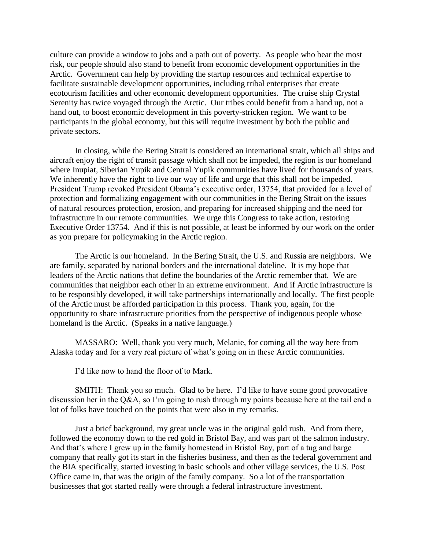culture can provide a window to jobs and a path out of poverty. As people who bear the most risk, our people should also stand to benefit from economic development opportunities in the Arctic. Government can help by providing the startup resources and technical expertise to facilitate sustainable development opportunities, including tribal enterprises that create ecotourism facilities and other economic development opportunities. The cruise ship Crystal Serenity has twice voyaged through the Arctic. Our tribes could benefit from a hand up, not a hand out, to boost economic development in this poverty-stricken region. We want to be participants in the global economy, but this will require investment by both the public and private sectors.

In closing, while the Bering Strait is considered an international strait, which all ships and aircraft enjoy the right of transit passage which shall not be impeded, the region is our homeland where Inupiat, Siberian Yupik and Central Yupik communities have lived for thousands of years. We inherently have the right to live our way of life and urge that this shall not be impeded. President Trump revoked President Obama's executive order, 13754, that provided for a level of protection and formalizing engagement with our communities in the Bering Strait on the issues of natural resources protection, erosion, and preparing for increased shipping and the need for infrastructure in our remote communities. We urge this Congress to take action, restoring Executive Order 13754. And if this is not possible, at least be informed by our work on the order as you prepare for policymaking in the Arctic region.

The Arctic is our homeland. In the Bering Strait, the U.S. and Russia are neighbors. We are family, separated by national borders and the international dateline. It is my hope that leaders of the Arctic nations that define the boundaries of the Arctic remember that. We are communities that neighbor each other in an extreme environment. And if Arctic infrastructure is to be responsibly developed, it will take partnerships internationally and locally. The first people of the Arctic must be afforded participation in this process. Thank you, again, for the opportunity to share infrastructure priorities from the perspective of indigenous people whose homeland is the Arctic. (Speaks in a native language.)

MASSARO: Well, thank you very much, Melanie, for coming all the way here from Alaska today and for a very real picture of what's going on in these Arctic communities.

I'd like now to hand the floor of to Mark.

SMITH: Thank you so much. Glad to be here. I'd like to have some good provocative discussion her in the Q&A, so I'm going to rush through my points because here at the tail end a lot of folks have touched on the points that were also in my remarks.

Just a brief background, my great uncle was in the original gold rush. And from there, followed the economy down to the red gold in Bristol Bay, and was part of the salmon industry. And that's where I grew up in the family homestead in Bristol Bay, part of a tug and barge company that really got its start in the fisheries business, and then as the federal government and the BIA specifically, started investing in basic schools and other village services, the U.S. Post Office came in, that was the origin of the family company. So a lot of the transportation businesses that got started really were through a federal infrastructure investment.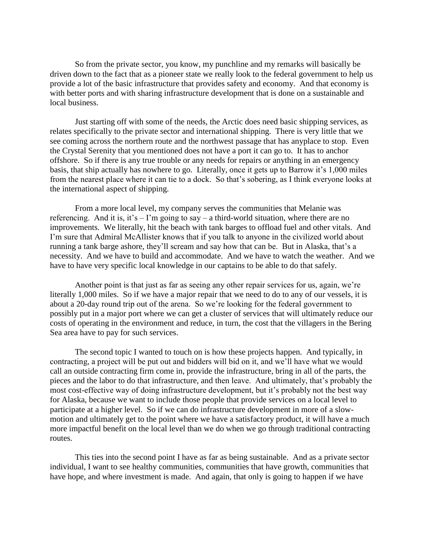So from the private sector, you know, my punchline and my remarks will basically be driven down to the fact that as a pioneer state we really look to the federal government to help us provide a lot of the basic infrastructure that provides safety and economy. And that economy is with better ports and with sharing infrastructure development that is done on a sustainable and local business.

Just starting off with some of the needs, the Arctic does need basic shipping services, as relates specifically to the private sector and international shipping. There is very little that we see coming across the northern route and the northwest passage that has anyplace to stop. Even the Crystal Serenity that you mentioned does not have a port it can go to. It has to anchor offshore. So if there is any true trouble or any needs for repairs or anything in an emergency basis, that ship actually has nowhere to go. Literally, once it gets up to Barrow it's 1,000 miles from the nearest place where it can tie to a dock. So that's sobering, as I think everyone looks at the international aspect of shipping.

From a more local level, my company serves the communities that Melanie was referencing. And it is, it's  $-$  I'm going to say  $-$  a third-world situation, where there are no improvements. We literally, hit the beach with tank barges to offload fuel and other vitals. And I'm sure that Admiral McAllister knows that if you talk to anyone in the civilized world about running a tank barge ashore, they'll scream and say how that can be. But in Alaska, that's a necessity. And we have to build and accommodate. And we have to watch the weather. And we have to have very specific local knowledge in our captains to be able to do that safely.

Another point is that just as far as seeing any other repair services for us, again, we're literally 1,000 miles. So if we have a major repair that we need to do to any of our vessels, it is about a 20-day round trip out of the arena. So we're looking for the federal government to possibly put in a major port where we can get a cluster of services that will ultimately reduce our costs of operating in the environment and reduce, in turn, the cost that the villagers in the Bering Sea area have to pay for such services.

The second topic I wanted to touch on is how these projects happen. And typically, in contracting, a project will be put out and bidders will bid on it, and we'll have what we would call an outside contracting firm come in, provide the infrastructure, bring in all of the parts, the pieces and the labor to do that infrastructure, and then leave. And ultimately, that's probably the most cost-effective way of doing infrastructure development, but it's probably not the best way for Alaska, because we want to include those people that provide services on a local level to participate at a higher level. So if we can do infrastructure development in more of a slowmotion and ultimately get to the point where we have a satisfactory product, it will have a much more impactful benefit on the local level than we do when we go through traditional contracting routes.

This ties into the second point I have as far as being sustainable. And as a private sector individual, I want to see healthy communities, communities that have growth, communities that have hope, and where investment is made. And again, that only is going to happen if we have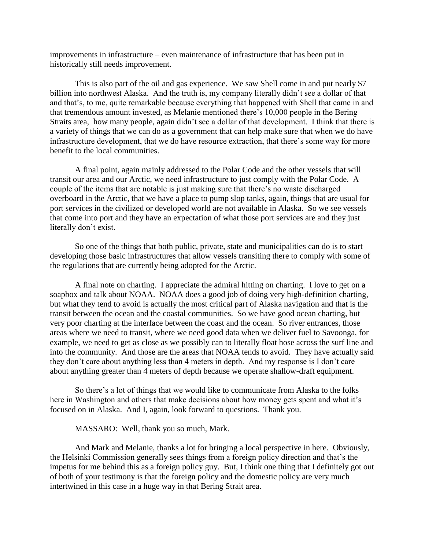improvements in infrastructure – even maintenance of infrastructure that has been put in historically still needs improvement.

This is also part of the oil and gas experience. We saw Shell come in and put nearly \$7 billion into northwest Alaska. And the truth is, my company literally didn't see a dollar of that and that's, to me, quite remarkable because everything that happened with Shell that came in and that tremendous amount invested, as Melanie mentioned there's 10,000 people in the Bering Straits area, how many people, again didn't see a dollar of that development. I think that there is a variety of things that we can do as a government that can help make sure that when we do have infrastructure development, that we do have resource extraction, that there's some way for more benefit to the local communities.

A final point, again mainly addressed to the Polar Code and the other vessels that will transit our area and our Arctic, we need infrastructure to just comply with the Polar Code. A couple of the items that are notable is just making sure that there's no waste discharged overboard in the Arctic, that we have a place to pump slop tanks, again, things that are usual for port services in the civilized or developed world are not available in Alaska. So we see vessels that come into port and they have an expectation of what those port services are and they just literally don't exist.

So one of the things that both public, private, state and municipalities can do is to start developing those basic infrastructures that allow vessels transiting there to comply with some of the regulations that are currently being adopted for the Arctic.

A final note on charting. I appreciate the admiral hitting on charting. I love to get on a soapbox and talk about NOAA. NOAA does a good job of doing very high-definition charting, but what they tend to avoid is actually the most critical part of Alaska navigation and that is the transit between the ocean and the coastal communities. So we have good ocean charting, but very poor charting at the interface between the coast and the ocean. So river entrances, those areas where we need to transit, where we need good data when we deliver fuel to Savoonga, for example, we need to get as close as we possibly can to literally float hose across the surf line and into the community. And those are the areas that NOAA tends to avoid. They have actually said they don't care about anything less than 4 meters in depth. And my response is I don't care about anything greater than 4 meters of depth because we operate shallow-draft equipment.

So there's a lot of things that we would like to communicate from Alaska to the folks here in Washington and others that make decisions about how money gets spent and what it's focused on in Alaska. And I, again, look forward to questions. Thank you.

## MASSARO: Well, thank you so much, Mark.

And Mark and Melanie, thanks a lot for bringing a local perspective in here. Obviously, the Helsinki Commission generally sees things from a foreign policy direction and that's the impetus for me behind this as a foreign policy guy. But, I think one thing that I definitely got out of both of your testimony is that the foreign policy and the domestic policy are very much intertwined in this case in a huge way in that Bering Strait area.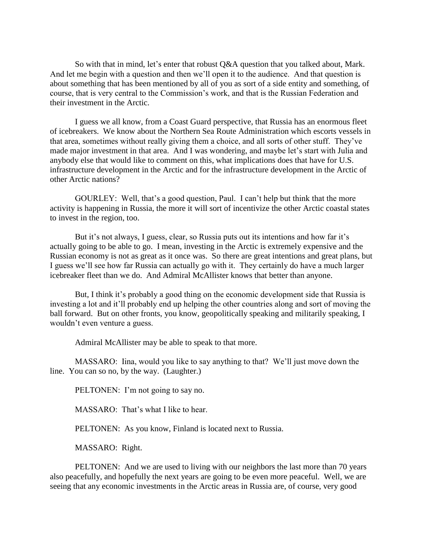So with that in mind, let's enter that robust Q&A question that you talked about, Mark. And let me begin with a question and then we'll open it to the audience. And that question is about something that has been mentioned by all of you as sort of a side entity and something, of course, that is very central to the Commission's work, and that is the Russian Federation and their investment in the Arctic.

I guess we all know, from a Coast Guard perspective, that Russia has an enormous fleet of icebreakers. We know about the Northern Sea Route Administration which escorts vessels in that area, sometimes without really giving them a choice, and all sorts of other stuff. They've made major investment in that area. And I was wondering, and maybe let's start with Julia and anybody else that would like to comment on this, what implications does that have for U.S. infrastructure development in the Arctic and for the infrastructure development in the Arctic of other Arctic nations?

GOURLEY: Well, that's a good question, Paul. I can't help but think that the more activity is happening in Russia, the more it will sort of incentivize the other Arctic coastal states to invest in the region, too.

But it's not always, I guess, clear, so Russia puts out its intentions and how far it's actually going to be able to go. I mean, investing in the Arctic is extremely expensive and the Russian economy is not as great as it once was. So there are great intentions and great plans, but I guess we'll see how far Russia can actually go with it. They certainly do have a much larger icebreaker fleet than we do. And Admiral McAllister knows that better than anyone.

But, I think it's probably a good thing on the economic development side that Russia is investing a lot and it'll probably end up helping the other countries along and sort of moving the ball forward. But on other fronts, you know, geopolitically speaking and militarily speaking, I wouldn't even venture a guess.

Admiral McAllister may be able to speak to that more.

MASSARO: Iina, would you like to say anything to that? We'll just move down the line. You can so no, by the way. (Laughter.)

PELTONEN: I'm not going to say no.

MASSARO: That's what I like to hear.

PELTONEN: As you know, Finland is located next to Russia.

MASSARO: Right.

PELTONEN: And we are used to living with our neighbors the last more than 70 years also peacefully, and hopefully the next years are going to be even more peaceful. Well, we are seeing that any economic investments in the Arctic areas in Russia are, of course, very good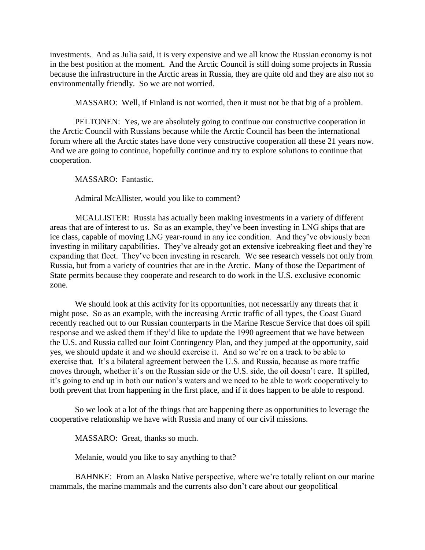investments. And as Julia said, it is very expensive and we all know the Russian economy is not in the best position at the moment. And the Arctic Council is still doing some projects in Russia because the infrastructure in the Arctic areas in Russia, they are quite old and they are also not so environmentally friendly. So we are not worried.

MASSARO: Well, if Finland is not worried, then it must not be that big of a problem.

PELTONEN: Yes, we are absolutely going to continue our constructive cooperation in the Arctic Council with Russians because while the Arctic Council has been the international forum where all the Arctic states have done very constructive cooperation all these 21 years now. And we are going to continue, hopefully continue and try to explore solutions to continue that cooperation.

MASSARO: Fantastic.

Admiral McAllister, would you like to comment?

MCALLISTER: Russia has actually been making investments in a variety of different areas that are of interest to us. So as an example, they've been investing in LNG ships that are ice class, capable of moving LNG year-round in any ice condition. And they've obviously been investing in military capabilities. They've already got an extensive icebreaking fleet and they're expanding that fleet. They've been investing in research. We see research vessels not only from Russia, but from a variety of countries that are in the Arctic. Many of those the Department of State permits because they cooperate and research to do work in the U.S. exclusive economic zone.

We should look at this activity for its opportunities, not necessarily any threats that it might pose. So as an example, with the increasing Arctic traffic of all types, the Coast Guard recently reached out to our Russian counterparts in the Marine Rescue Service that does oil spill response and we asked them if they'd like to update the 1990 agreement that we have between the U.S. and Russia called our Joint Contingency Plan, and they jumped at the opportunity, said yes, we should update it and we should exercise it. And so we're on a track to be able to exercise that. It's a bilateral agreement between the U.S. and Russia, because as more traffic moves through, whether it's on the Russian side or the U.S. side, the oil doesn't care. If spilled, it's going to end up in both our nation's waters and we need to be able to work cooperatively to both prevent that from happening in the first place, and if it does happen to be able to respond.

So we look at a lot of the things that are happening there as opportunities to leverage the cooperative relationship we have with Russia and many of our civil missions.

MASSARO: Great, thanks so much.

Melanie, would you like to say anything to that?

BAHNKE: From an Alaska Native perspective, where we're totally reliant on our marine mammals, the marine mammals and the currents also don't care about our geopolitical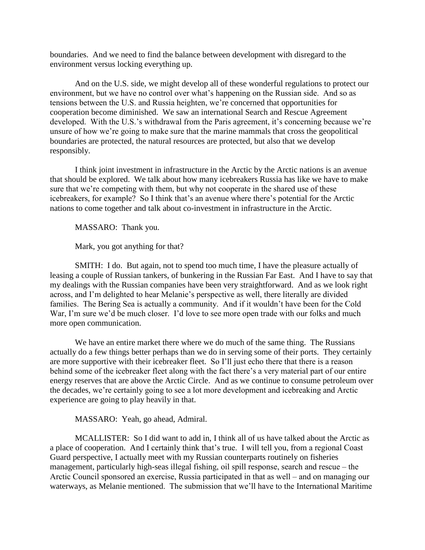boundaries. And we need to find the balance between development with disregard to the environment versus locking everything up.

And on the U.S. side, we might develop all of these wonderful regulations to protect our environment, but we have no control over what's happening on the Russian side. And so as tensions between the U.S. and Russia heighten, we're concerned that opportunities for cooperation become diminished. We saw an international Search and Rescue Agreement developed. With the U.S.'s withdrawal from the Paris agreement, it's concerning because we're unsure of how we're going to make sure that the marine mammals that cross the geopolitical boundaries are protected, the natural resources are protected, but also that we develop responsibly.

I think joint investment in infrastructure in the Arctic by the Arctic nations is an avenue that should be explored. We talk about how many icebreakers Russia has like we have to make sure that we're competing with them, but why not cooperate in the shared use of these icebreakers, for example? So I think that's an avenue where there's potential for the Arctic nations to come together and talk about co-investment in infrastructure in the Arctic.

MASSARO: Thank you.

Mark, you got anything for that?

SMITH: I do. But again, not to spend too much time, I have the pleasure actually of leasing a couple of Russian tankers, of bunkering in the Russian Far East. And I have to say that my dealings with the Russian companies have been very straightforward. And as we look right across, and I'm delighted to hear Melanie's perspective as well, there literally are divided families. The Bering Sea is actually a community. And if it wouldn't have been for the Cold War, I'm sure we'd be much closer. I'd love to see more open trade with our folks and much more open communication.

We have an entire market there where we do much of the same thing. The Russians actually do a few things better perhaps than we do in serving some of their ports. They certainly are more supportive with their icebreaker fleet. So I'll just echo there that there is a reason behind some of the icebreaker fleet along with the fact there's a very material part of our entire energy reserves that are above the Arctic Circle. And as we continue to consume petroleum over the decades, we're certainly going to see a lot more development and icebreaking and Arctic experience are going to play heavily in that.

MASSARO: Yeah, go ahead, Admiral.

MCALLISTER: So I did want to add in, I think all of us have talked about the Arctic as a place of cooperation. And I certainly think that's true. I will tell you, from a regional Coast Guard perspective, I actually meet with my Russian counterparts routinely on fisheries management, particularly high-seas illegal fishing, oil spill response, search and rescue  $-$  the Arctic Council sponsored an exercise, Russia participated in that as well – and on managing our waterways, as Melanie mentioned. The submission that we'll have to the International Maritime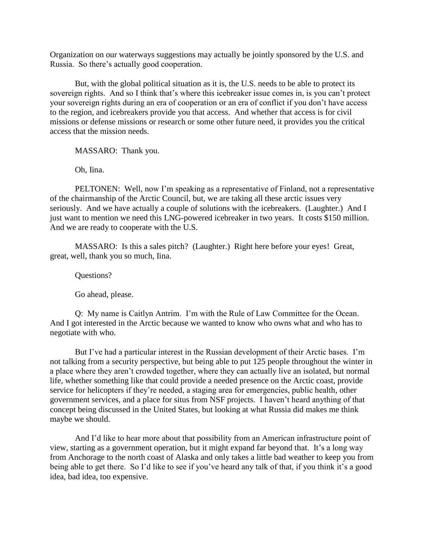Organization on our waterways suggestions may actually be jointly sponsored by the U.S. and Russia. So there's actually good cooperation.

But, with the global political situation as it is, the U.S. needs to be able to protect its sovereign rights. And so I think that's where this icebreaker issue comes in, is you can't protect your sovereign rights during an era of cooperation or an era of conflict if you don't have access to the region, and icebreakers provide you that access. And whether that access is for civil missions or defense missions or research or some other future need, it provides you the critical access that the mission needs.

MASSARO: Thank you.

Oh, Iina.

PELTONEN: Well, now I'm speaking as a representative of Finland, not a representative of the chairmanship of the Arctic Council, but, we are taking all these arctic issues very seriously. And we have actually a couple of solutions with the icebreakers. (Laughter.) And I just want to mention we need this LNG-powered icebreaker in two years. It costs \$150 million. And we are ready to cooperate with the U.S.

MASSARO: Is this a sales pitch? (Laughter.) Right here before your eyes! Great, great, well, thank you so much, Iina.

Questions?

Go ahead, please.

Q: My name is Caitlyn Antrim. I'm with the Rule of Law Committee for the Ocean. And I got interested in the Arctic because we wanted to know who owns what and who has to negotiate with who.

But I've had a particular interest in the Russian development of their Arctic bases. I'm not talking from a security perspective, but being able to put 125 people throughout the winter in a place where they aren't crowded together, where they can actually live an isolated, but normal life, whether something like that could provide a needed presence on the Arctic coast, provide service for helicopters if they're needed, a staging area for emergencies, public health, other government services, and a place for situs from NSF projects. I haven't heard anything of that concept being discussed in the United States, but looking at what Russia did makes me think maybe we should.

And I'd like to hear more about that possibility from an American infrastructure point of view, starting as a government operation, but it might expand far beyond that. It's a long way from Anchorage to the north coast of Alaska and only takes a little bad weather to keep you from being able to get there. So I'd like to see if you've heard any talk of that, if you think it's a good idea, bad idea, too expensive.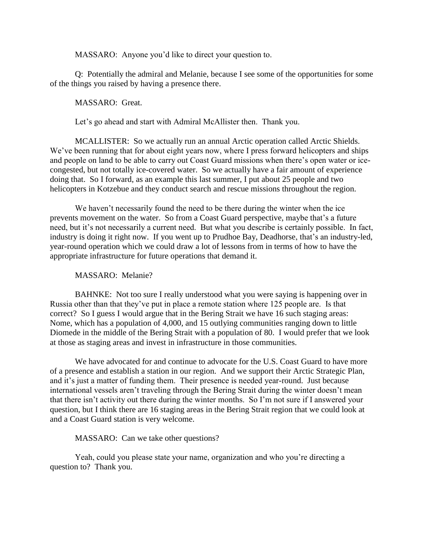MASSARO: Anyone you'd like to direct your question to.

Q: Potentially the admiral and Melanie, because I see some of the opportunities for some of the things you raised by having a presence there.

MASSARO: Great.

Let's go ahead and start with Admiral McAllister then. Thank you.

MCALLISTER: So we actually run an annual Arctic operation called Arctic Shields. We've been running that for about eight years now, where I press forward helicopters and ships and people on land to be able to carry out Coast Guard missions when there's open water or icecongested, but not totally ice-covered water. So we actually have a fair amount of experience doing that. So I forward, as an example this last summer, I put about 25 people and two helicopters in Kotzebue and they conduct search and rescue missions throughout the region.

We haven't necessarily found the need to be there during the winter when the ice prevents movement on the water. So from a Coast Guard perspective, maybe that's a future need, but it's not necessarily a current need. But what you describe is certainly possible. In fact, industry is doing it right now. If you went up to Prudhoe Bay, Deadhorse, that's an industry-led, year-round operation which we could draw a lot of lessons from in terms of how to have the appropriate infrastructure for future operations that demand it.

## MASSARO: Melanie?

BAHNKE: Not too sure I really understood what you were saying is happening over in Russia other than that they've put in place a remote station where 125 people are. Is that correct? So I guess I would argue that in the Bering Strait we have 16 such staging areas: Nome, which has a population of 4,000, and 15 outlying communities ranging down to little Diomede in the middle of the Bering Strait with a population of 80. I would prefer that we look at those as staging areas and invest in infrastructure in those communities.

We have advocated for and continue to advocate for the U.S. Coast Guard to have more of a presence and establish a station in our region. And we support their Arctic Strategic Plan, and it's just a matter of funding them. Their presence is needed year-round. Just because international vessels aren't traveling through the Bering Strait during the winter doesn't mean that there isn't activity out there during the winter months. So I'm not sure if I answered your question, but I think there are 16 staging areas in the Bering Strait region that we could look at and a Coast Guard station is very welcome.

## MASSARO: Can we take other questions?

Yeah, could you please state your name, organization and who you're directing a question to? Thank you.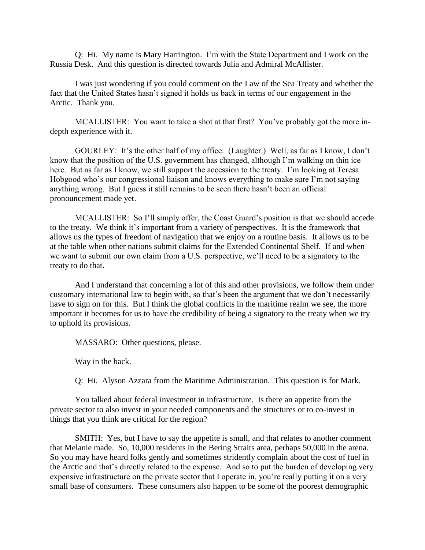Q: Hi. My name is Mary Harrington. I'm with the State Department and I work on the Russia Desk. And this question is directed towards Julia and Admiral McAllister.

I was just wondering if you could comment on the Law of the Sea Treaty and whether the fact that the United States hasn't signed it holds us back in terms of our engagement in the Arctic. Thank you.

MCALLISTER: You want to take a shot at that first? You've probably got the more indepth experience with it.

GOURLEY: It's the other half of my office. (Laughter.) Well, as far as I know, I don't know that the position of the U.S. government has changed, although I'm walking on thin ice here. But as far as I know, we still support the accession to the treaty. I'm looking at Teresa Hobgood who's our congressional liaison and knows everything to make sure I'm not saying anything wrong. But I guess it still remains to be seen there hasn't been an official pronouncement made yet.

MCALLISTER: So I'll simply offer, the Coast Guard's position is that we should accede to the treaty. We think it's important from a variety of perspectives. It is the framework that allows us the types of freedom of navigation that we enjoy on a routine basis. It allows us to be at the table when other nations submit claims for the Extended Continental Shelf. If and when we want to submit our own claim from a U.S. perspective, we'll need to be a signatory to the treaty to do that.

And I understand that concerning a lot of this and other provisions, we follow them under customary international law to begin with, so that's been the argument that we don't necessarily have to sign on for this. But I think the global conflicts in the maritime realm we see, the more important it becomes for us to have the credibility of being a signatory to the treaty when we try to uphold its provisions.

MASSARO: Other questions, please.

Way in the back.

Q: Hi. Alyson Azzara from the Maritime Administration. This question is for Mark.

You talked about federal investment in infrastructure. Is there an appetite from the private sector to also invest in your needed components and the structures or to co-invest in things that you think are critical for the region?

SMITH: Yes, but I have to say the appetite is small, and that relates to another comment that Melanie made. So, 10,000 residents in the Bering Straits area, perhaps 50,000 in the arena. So you may have heard folks gently and sometimes stridently complain about the cost of fuel in the Arctic and that's directly related to the expense. And so to put the burden of developing very expensive infrastructure on the private sector that I operate in, you're really putting it on a very small base of consumers. These consumers also happen to be some of the poorest demographic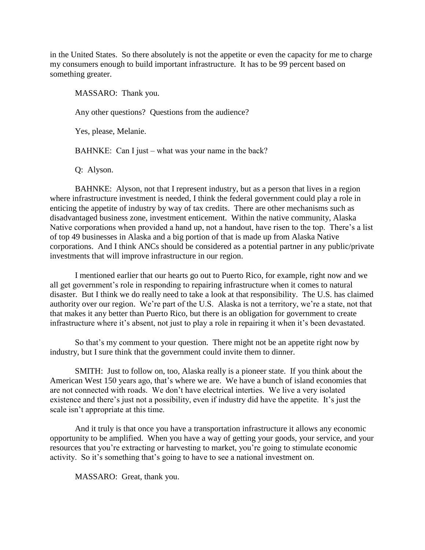in the United States. So there absolutely is not the appetite or even the capacity for me to charge my consumers enough to build important infrastructure. It has to be 99 percent based on something greater.

MASSARO: Thank you.

Any other questions? Questions from the audience?

Yes, please, Melanie.

BAHNKE: Can I just – what was your name in the back?

Q: Alyson.

BAHNKE: Alyson, not that I represent industry, but as a person that lives in a region where infrastructure investment is needed, I think the federal government could play a role in enticing the appetite of industry by way of tax credits. There are other mechanisms such as disadvantaged business zone, investment enticement. Within the native community, Alaska Native corporations when provided a hand up, not a handout, have risen to the top. There's a list of top 49 businesses in Alaska and a big portion of that is made up from Alaska Native corporations. And I think ANCs should be considered as a potential partner in any public/private investments that will improve infrastructure in our region.

I mentioned earlier that our hearts go out to Puerto Rico, for example, right now and we all get government's role in responding to repairing infrastructure when it comes to natural disaster. But I think we do really need to take a look at that responsibility. The U.S. has claimed authority over our region. We're part of the U.S. Alaska is not a territory, we're a state, not that that makes it any better than Puerto Rico, but there is an obligation for government to create infrastructure where it's absent, not just to play a role in repairing it when it's been devastated.

So that's my comment to your question. There might not be an appetite right now by industry, but I sure think that the government could invite them to dinner.

SMITH: Just to follow on, too, Alaska really is a pioneer state. If you think about the American West 150 years ago, that's where we are. We have a bunch of island economies that are not connected with roads. We don't have electrical interties. We live a very isolated existence and there's just not a possibility, even if industry did have the appetite. It's just the scale isn't appropriate at this time.

And it truly is that once you have a transportation infrastructure it allows any economic opportunity to be amplified. When you have a way of getting your goods, your service, and your resources that you're extracting or harvesting to market, you're going to stimulate economic activity. So it's something that's going to have to see a national investment on.

MASSARO: Great, thank you.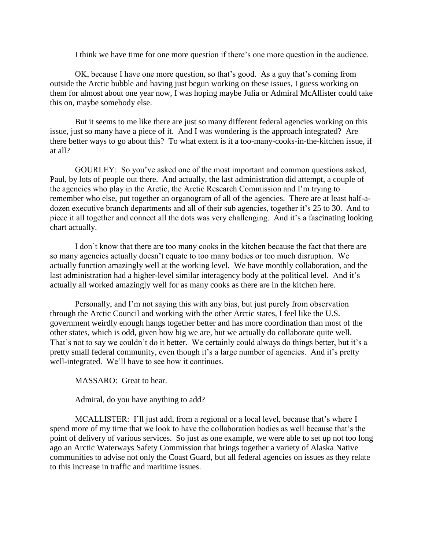I think we have time for one more question if there's one more question in the audience.

OK, because I have one more question, so that's good. As a guy that's coming from outside the Arctic bubble and having just begun working on these issues, I guess working on them for almost about one year now, I was hoping maybe Julia or Admiral McAllister could take this on, maybe somebody else.

But it seems to me like there are just so many different federal agencies working on this issue, just so many have a piece of it. And I was wondering is the approach integrated? Are there better ways to go about this? To what extent is it a too-many-cooks-in-the-kitchen issue, if at all?

GOURLEY: So you've asked one of the most important and common questions asked, Paul, by lots of people out there. And actually, the last administration did attempt, a couple of the agencies who play in the Arctic, the Arctic Research Commission and I'm trying to remember who else, put together an organogram of all of the agencies. There are at least half-adozen executive branch departments and all of their sub agencies, together it's 25 to 30. And to piece it all together and connect all the dots was very challenging. And it's a fascinating looking chart actually.

I don't know that there are too many cooks in the kitchen because the fact that there are so many agencies actually doesn't equate to too many bodies or too much disruption. We actually function amazingly well at the working level. We have monthly collaboration, and the last administration had a higher-level similar interagency body at the political level. And it's actually all worked amazingly well for as many cooks as there are in the kitchen here.

Personally, and I'm not saying this with any bias, but just purely from observation through the Arctic Council and working with the other Arctic states, I feel like the U.S. government weirdly enough hangs together better and has more coordination than most of the other states, which is odd, given how big we are, but we actually do collaborate quite well. That's not to say we couldn't do it better. We certainly could always do things better, but it's a pretty small federal community, even though it's a large number of agencies. And it's pretty well-integrated. We'll have to see how it continues.

MASSARO: Great to hear.

Admiral, do you have anything to add?

MCALLISTER: I'll just add, from a regional or a local level, because that's where I spend more of my time that we look to have the collaboration bodies as well because that's the point of delivery of various services. So just as one example, we were able to set up not too long ago an Arctic Waterways Safety Commission that brings together a variety of Alaska Native communities to advise not only the Coast Guard, but all federal agencies on issues as they relate to this increase in traffic and maritime issues.